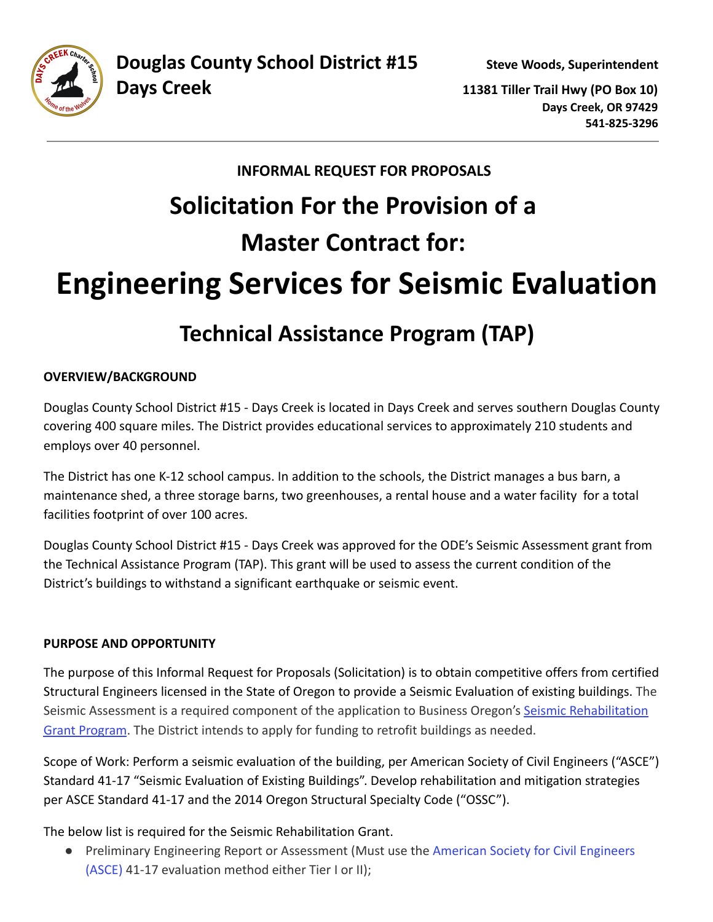**Days Creek 11381 Tiller Trail Hwy (PO Box 10) Days Creek, OR 97429 541-825-3296**

# **INFORMAL REQUEST FOR PROPOSALS Solicitation For the Provision of a Master Contract for: Engineering Services for Seismic Evaluation**

# **Technical Assistance Program (TAP)**

# **OVERVIEW/BACKGROUND**

Douglas County School District #15 - Days Creek is located in Days Creek and serves southern Douglas County covering 400 square miles. The District provides educational services to approximately 210 students and employs over 40 personnel.

The District has one K-12 school campus. In addition to the schools, the District manages a bus barn, a maintenance shed, a three storage barns, two greenhouses, a rental house and a water facility for a total facilities footprint of over 100 acres.

Douglas County School District #15 - Days Creek was approved for the ODE's Seismic Assessment grant from the Technical Assistance Program (TAP). This grant will be used to assess the current condition of the District's buildings to withstand a significant earthquake or seismic event.

# **PURPOSE AND OPPORTUNITY**

The purpose of this Informal Request for Proposals (Solicitation) is to obtain competitive offers from certified Structural Engineers licensed in the State of Oregon to provide a Seismic Evaluation of existing buildings. The Seismic Assessment is a required component of the application to Business Oregon's [Seismic Rehabilitation](https://www.oregon.gov/biz/programs/SRGP/Pages/default.aspx) [Grant Program](https://www.oregon.gov/biz/programs/SRGP/Pages/default.aspx). The District intends to apply for funding to retrofit buildings as needed.

Scope of Work: Perform a seismic evaluation of the building, per American Society of Civil Engineers ("ASCE") Standard 41-17 "Seismic Evaluation of Existing Buildings". Develop rehabilitation and mitigation strategies per ASCE Standard 41-17 and the 2014 Oregon Structural Specialty Code ("OSSC").

The below list is required for the Seismic Rehabilitation Grant.

● Preliminary Engineering Report or Assessment (Must use the [American Society for Civil Engineers](https://www.asce.org/) [\(ASCE\)](https://www.asce.org/) 41-17 evaluation method either Tier I or II);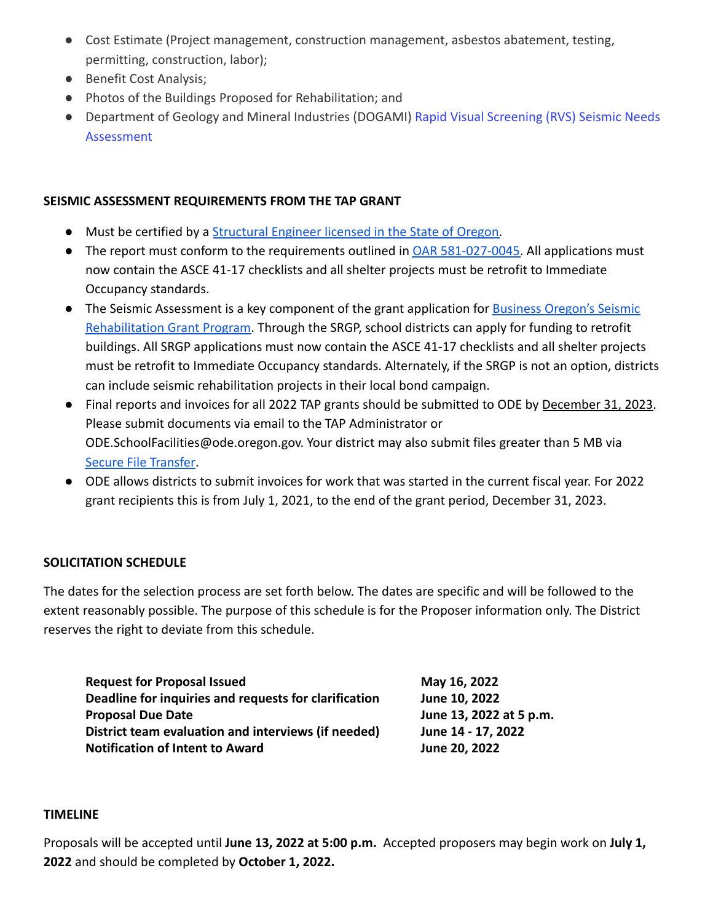- Cost Estimate (Project management, construction management, asbestos abatement, testing, permitting, construction, labor);
- Benefit Cost Analysis;
- Photos of the Buildings Proposed for Rehabilitation; and
- Department of Geology and Mineral Industries (DOGAMI) [Rapid Visual Screening \(RVS\) Seismic Needs](https://www.oregongeology.org/rvs/reports.htm) [Assessment](https://www.oregongeology.org/rvs/reports.htm)

### **SEISMIC ASSESSMENT REQUIREMENTS FROM THE TAP GRANT**

- Must be certified by a [Structural Engineer licensed](https://www.oregon.gov/osbeels/resources/pages/look-up-a-license.aspx) in the State of Oregon.
- The report must conform to the requirements outlined in [OAR 581-027-0045.](https://secure.sos.state.or.us/oard/viewSingleRule.action?ruleVrsnRsn=273815) All applications must now contain the ASCE 41-17 checklists and all shelter projects must be retrofit to Immediate Occupancy standards.
- The Seismic Assessment is a key component of the grant application for [Business Oregon's Seismic](https://www.oregon.gov/biz/programs/SRGP/Pages/default.aspx) [Rehabilitation Grant Program.](https://www.oregon.gov/biz/programs/SRGP/Pages/default.aspx) Through the SRGP, school districts can apply for funding to retrofit buildings. All SRGP applications must now contain the ASCE 41-17 checklists and all shelter projects must be retrofit to Immediate Occupancy standards. Alternately, if the SRGP is not an option, districts can include seismic rehabilitation projects in their local bond campaign.
- Final reports and invoices for all 2022 TAP grants should be submitted to ODE by December 31, 2023. Please submit documents via email to the TAP Administrator or ODE.SchoolFacilities@ode.oregon.gov. Your district may also submit files greater than 5 MB vi[a](https://district.ode.state.or.us/apps/xfers/) [Secure File Transfer.](https://district.ode.state.or.us/apps/xfers/)
- ODE allows districts to submit invoices for work that was started in the current fiscal year. For 2022 grant recipients this is from July 1, 2021, to the end of the grant period, December 31, 2023.

# **SOLICITATION SCHEDULE**

The dates for the selection process are set forth below. The dates are specific and will be followed to the extent reasonably possible. The purpose of this schedule is for the Proposer information only. The District reserves the right to deviate from this schedule.

| <b>Request for Proposal Issued</b>                    | May 16, 2022            |
|-------------------------------------------------------|-------------------------|
| Deadline for inquiries and requests for clarification | June 10, 2022           |
| <b>Proposal Due Date</b>                              | June 13, 2022 at 5 p.m. |
| District team evaluation and interviews (if needed)   | June 14 - 17, 2022      |
| <b>Notification of Intent to Award</b>                | June 20, 2022           |

#### **TIMELINE**

Proposals will be accepted until **June 13, 2022 at 5:00 p.m.** Accepted proposers may begin work on **July 1, 2022** and should be completed by **October 1, 2022.**